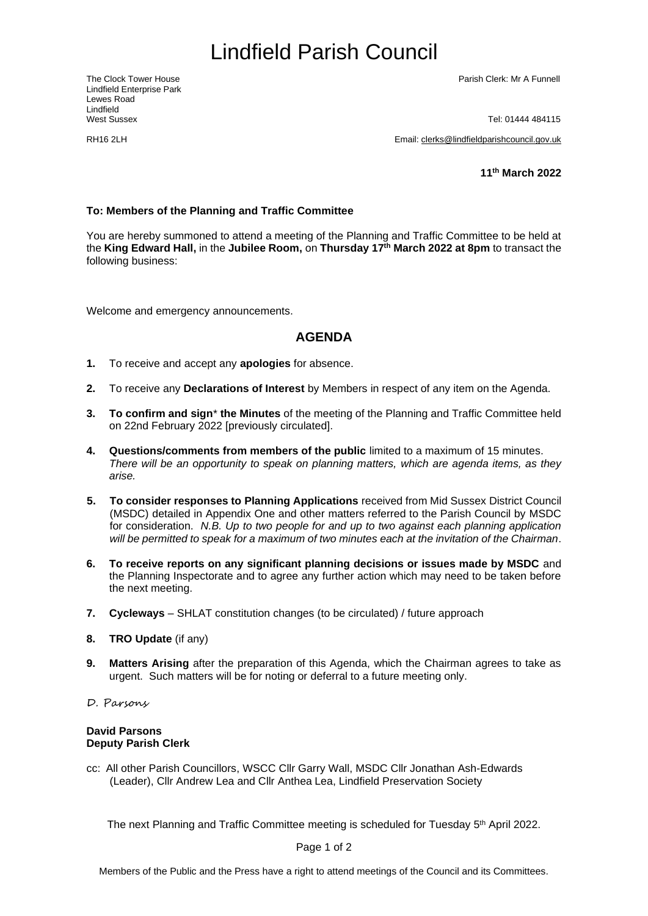# <span id="page-0-0"></span>Lindfield Parish Council

Lindfield Enterprise Park Lewes Road Lindfield<br>West Sussex

The Clock Tower House Parish Clerk: Mr A Funnell

Tel: 01444 484115

RH16 2LH Email: [clerks@lindfieldparishcouncil.gov.uk](mailto:clerks@lindfieldparishcouncil.gov.uk)

**11 th March 2022**

#### **To: Members of the Planning and Traffic Committee**

You are hereby summoned to attend a meeting of the Planning and Traffic Committee to be held at the **King Edward Hall,** in the **Jubilee Room,** on **Thursday 17th March 2022 at 8pm** to transact the following business:

Welcome and emergency announcements.

### **AGENDA**

- **1.** To receive and accept any **apologies** for absence.
- **2.** To receive any **Declarations of Interest** by Members in respect of any item on the Agenda.
- **3. To confirm and sign**\* **the Minutes** of the meeting of the Planning and Traffic Committee held on 22nd February 2022 [previously circulated].
- **4. Questions/comments from members of the public** limited to a maximum of 15 minutes. *There will be an opportunity to speak on planning matters, which are agenda items, as they arise.*
- **5. To consider responses to Planning Applications** received from Mid Sussex District Council (MSDC) detailed in Appendix One and other matters referred to the Parish Council by MSDC for consideration. *N.B. Up to two people for and up to two against each planning application will be permitted to speak for a maximum of two minutes each at the invitation of the Chairman*.
- **6. To receive reports on any significant planning decisions or issues made by MSDC** and the Planning Inspectorate and to agree any further action which may need to be taken before the next meeting.
- **7. Cycleways** SHLAT constitution changes (to be circulated) / future approach
- **8. TRO Update** (if any)
- **9. Matters Arising** after the preparation of this Agenda, which the Chairman agrees to take as urgent. Such matters will be for noting or deferral to a future meeting only.
- D. Parsons

#### **David Parsons Deputy Parish Clerk**

cc: All other Parish Councillors, WSCC Cllr Garry Wall, MSDC Cllr Jonathan Ash-Edwards (Leader), Cllr Andrew Lea and Cllr Anthea Lea, Lindfield Preservation Society

The next Planning and Traffic Committee meeting is scheduled for Tuesday 5 th April 2022.

Page 1 of 2

Members of the Public and the Press have a right to attend meetings of the Council and its Committees.